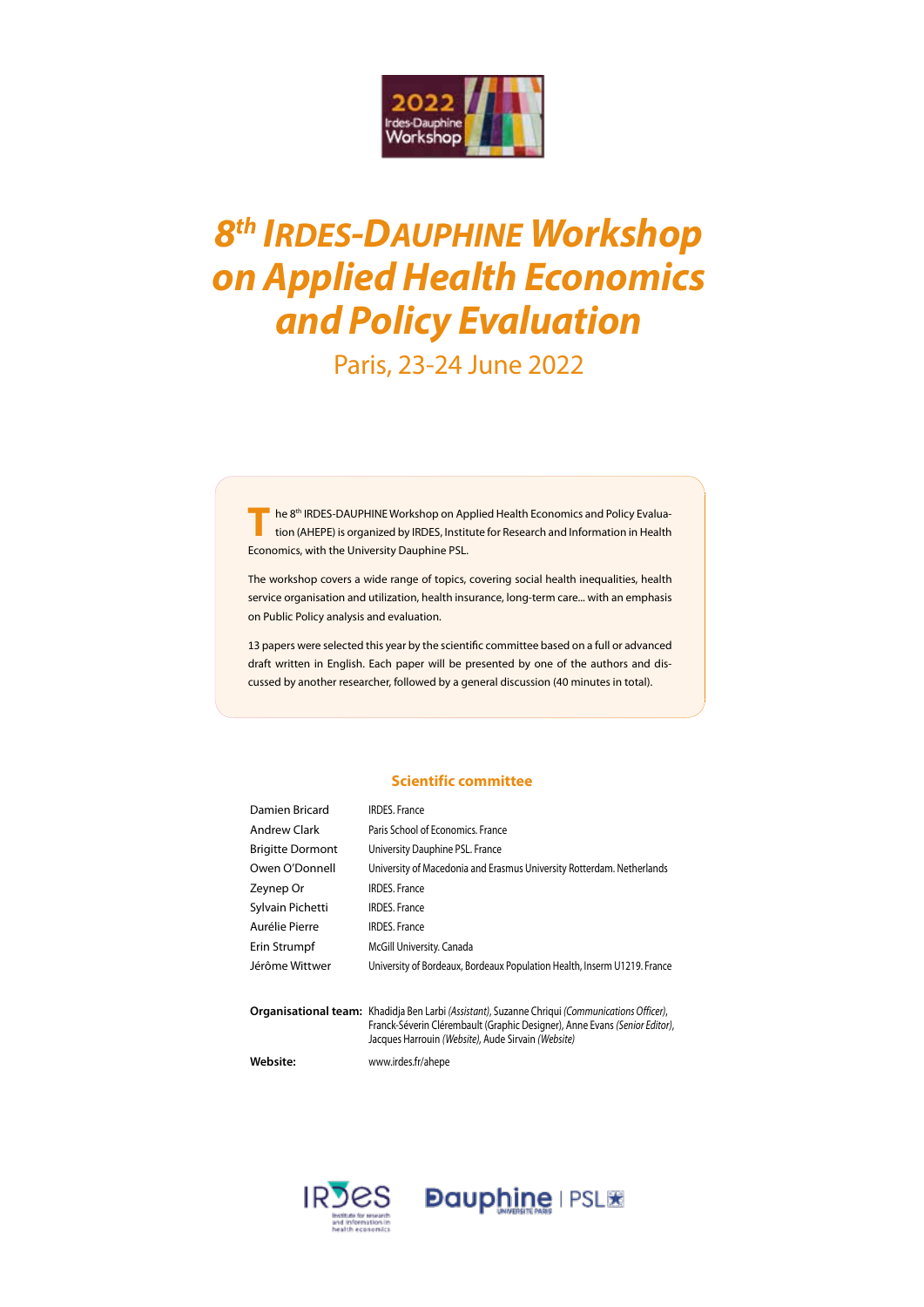

# *8th IRDES-DAUPHINE Workshop on Applied Health Economics and Policy Evaluation*

### Paris, 23-24 June 2022

The 8<sup>th</sup> IRDES-DAUPHINE Workshop on Applied Health Economics and Policy Evaluation (AHEPE) is organized by IRDES, Institute for Research and Information in Health Economics, with the University Dauphine PSL.

The workshop covers a wide range of topics, covering social health inequalities, health service organisation and utilization, health insurance, long-term care... with an emphasis on Public Policy analysis and evaluation.

13 papers were selected this year by the scientific committee based on a full or advanced draft written in English. Each paper will be presented by one of the authors and discussed by another researcher, followed by a general discussion (40 minutes in total).

#### **Scientific committee**

| Damien Bricard          | <b>IRDES, France</b>                                                                                                                                                         |
|-------------------------|------------------------------------------------------------------------------------------------------------------------------------------------------------------------------|
| <b>Andrew Clark</b>     | Paris School of Economics. France                                                                                                                                            |
| <b>Brigitte Dormont</b> | University Dauphine PSL. France                                                                                                                                              |
| Owen O'Donnell          | University of Macedonia and Erasmus University Rotterdam. Netherlands                                                                                                        |
| Zeynep Or               | <b>IRDES</b> . France                                                                                                                                                        |
| Sylvain Pichetti        | <b>IRDES, France</b>                                                                                                                                                         |
| Aurélie Pierre          | <b>IRDES, France</b>                                                                                                                                                         |
| Erin Strumpf            | McGill University. Canada                                                                                                                                                    |
| Jérôme Wittwer          | University of Bordeaux, Bordeaux Population Health, Inserm U1219. France                                                                                                     |
|                         | Organisational team: Khadidja Ben Larbi (Assistant), Suzanne Chriqui (Communications Officer),<br>Franck-Séverin Clérembault (Graphic Designer), Anne Evans (Senior Editor), |

Jacques Harrouin *(Website),* Aude Sirvain *(Website)*

**Website:** www.irdes.fr/ahepe



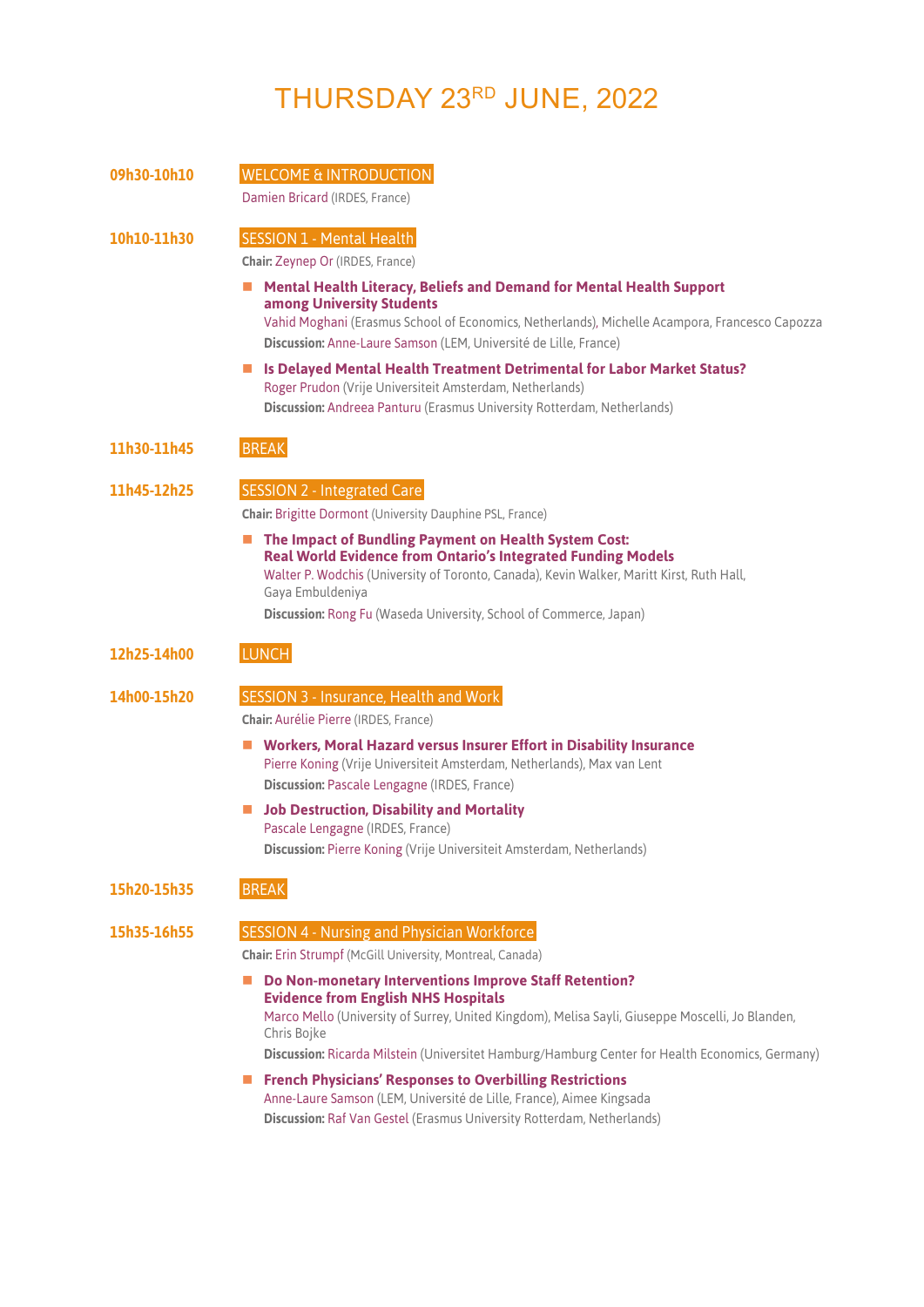## THURSDAY 23RD JUNE, 2022

| 09h30-10h10 | <b>WELCOME &amp; INTRODUCTION</b>                                                                                                                                                                                                                                                                                   |
|-------------|---------------------------------------------------------------------------------------------------------------------------------------------------------------------------------------------------------------------------------------------------------------------------------------------------------------------|
|             | Damien Bricard (IRDES, France)                                                                                                                                                                                                                                                                                      |
| 10h10-11h30 | <b>SESSION 1 - Mental Health</b>                                                                                                                                                                                                                                                                                    |
|             | Chair: Zeynep Or (IRDES, France)                                                                                                                                                                                                                                                                                    |
|             | Mental Health Literacy, Beliefs and Demand for Mental Health Support<br>ш<br>among University Students<br>Vahid Moghani (Erasmus School of Economics, Netherlands), Michelle Acampora, Francesco Capozza<br>Discussion: Anne-Laure Samson (LEM, Université de Lille, France)                                        |
|             | Is Delayed Mental Health Treatment Detrimental for Labor Market Status?<br>Roger Prudon (Vrije Universiteit Amsterdam, Netherlands)<br>Discussion: Andreea Panturu (Erasmus University Rotterdam, Netherlands)                                                                                                      |
| 11h30-11h45 | <b>BREAK</b>                                                                                                                                                                                                                                                                                                        |
| 11h45-12h25 | <b>SESSION 2 - Integrated Care</b>                                                                                                                                                                                                                                                                                  |
|             | <b>Chair: Brigitte Dormont (University Dauphine PSL, France)</b>                                                                                                                                                                                                                                                    |
|             | The Impact of Bundling Payment on Health System Cost:<br><b>Real World Evidence from Ontario's Integrated Funding Models</b><br>Walter P. Wodchis (University of Toronto, Canada), Kevin Walker, Maritt Kirst, Ruth Hall,<br>Gaya Embuldeniya<br>Discussion: Rong Fu (Waseda University, School of Commerce, Japan) |
| 12h25-14h00 | <b>LUNCH</b>                                                                                                                                                                                                                                                                                                        |
| 14h00-15h20 | <b>SESSION 3 - Insurance, Health and Work</b>                                                                                                                                                                                                                                                                       |
|             | <b>Chair: Aurélie Pierre (IRDES, France)</b>                                                                                                                                                                                                                                                                        |
|             | ■ Workers, Moral Hazard versus Insurer Effort in Disability Insurance<br>Pierre Koning (Vrije Universiteit Amsterdam, Netherlands), Max van Lent                                                                                                                                                                    |
|             | Discussion: Pascale Lengagne (IRDES, France)                                                                                                                                                                                                                                                                        |
|             | <b>Job Destruction, Disability and Mortality</b><br><b>In the case</b><br>Pascale Lengagne (IRDES, France)<br>Discussion: Pierre Koning (Vrije Universiteit Amsterdam, Netherlands)                                                                                                                                 |
| 15h20-15h35 | <b>BREAK</b>                                                                                                                                                                                                                                                                                                        |
| 15h35-16h55 | <b>SESSION 4 - Nursing and Physician Workforce</b>                                                                                                                                                                                                                                                                  |
|             | <b>Chair: Erin Strumpf (McGill University, Montreal, Canada)</b>                                                                                                                                                                                                                                                    |
|             | Do Non-monetary Interventions Improve Staff Retention?<br><b>Evidence from English NHS Hospitals</b><br>Marco Mello (University of Surrey, United Kingdom), Melisa Sayli, Giuseppe Moscelli, Jo Blanden,<br>Chris Bojke                                                                                             |
|             | Discussion: Ricarda Milstein (Universitet Hamburg/Hamburg Center for Health Economics, Germany)                                                                                                                                                                                                                     |
|             | French Physicians' Responses to Overbilling Restrictions                                                                                                                                                                                                                                                            |

Anne-Laure Samson (LEM, Université de Lille, France), Aimee Kingsada **Discussion:** Raf Van Gestel (Erasmus University Rotterdam, Netherlands)